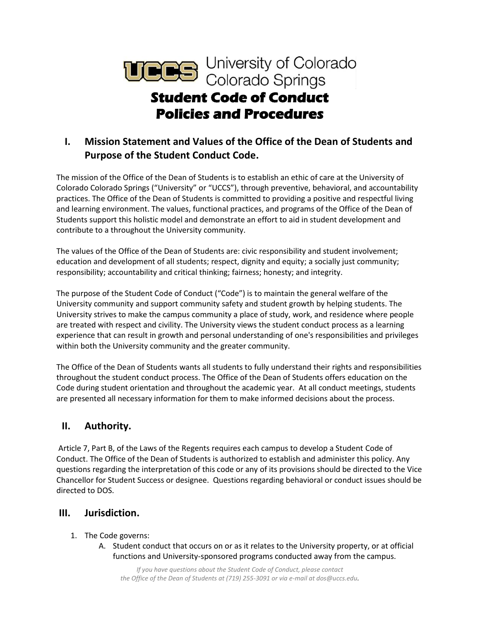

# **I. Mission Statement and Values of the Office of the Dean of Students and Purpose of the Student Conduct Code.**

The mission of the Office of the Dean of Students is to establish an ethic of care at the University of Colorado Colorado Springs ("University" or "UCCS"), through preventive, behavioral, and accountability practices. The Office of the Dean of Students is committed to providing a positive and respectful living and learning environment. The values, functional practices, and programs of the Office of the Dean of Students support this holistic model and demonstrate an effort to aid in student development and contribute to a throughout the University community.

The values of the Office of the Dean of Students are: civic responsibility and student involvement; education and development of all students; respect, dignity and equity; a socially just community; responsibility; accountability and critical thinking; fairness; honesty; and integrity.

The purpose of the Student Code of Conduct ("Code") is to maintain the general welfare of the University community and support community safety and student growth by helping students. The University strives to make the campus community a place of study, work, and residence where people are treated with respect and civility. The University views the student conduct process as a learning experience that can result in growth and personal understanding of one's responsibilities and privileges within both the University community and the greater community.

The Office of the Dean of Students wants all students to fully understand their rights and responsibilities throughout the student conduct process. The Office of the Dean of Students offers education on the Code during student orientation and throughout the academic year. At all conduct meetings, students are presented all necessary information for them to make informed decisions about the process.

## **II. Authority.**

Article 7, Part B, of the Laws of the Regents requires each campus to develop a Student Code of Conduct. The Office of the Dean of Students is authorized to establish and administer this policy. Any questions regarding the interpretation of this code or any of its provisions should be directed to the Vice Chancellor for Student Success or designee. Questions regarding behavioral or conduct issues should be directed to DOS.

## **III. Jurisdiction.**

- 1. The Code governs:
	- A. Student conduct that occurs on or as it relates to the University property, or at official functions and University-sponsored programs conducted away from the campus.

*If you have questions about the Student Code of Conduct, please contact the Office of the Dean of Students at (719) 255-3091 or via e-mail at dos@uccs.edu.*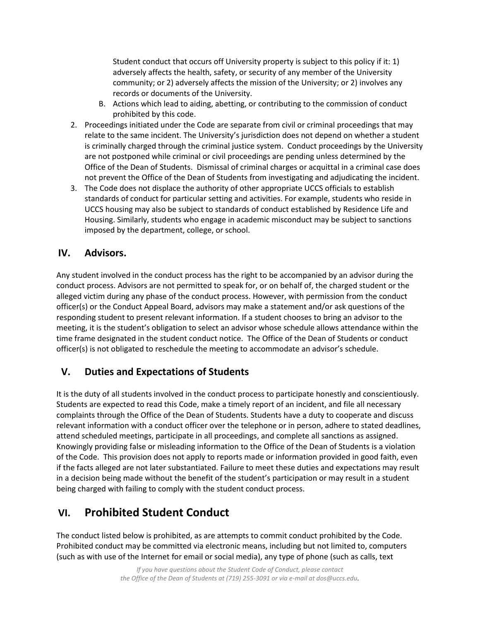Student conduct that occurs off University property is subject to this policy if it: 1) adversely affects the health, safety, or security of any member of the University community; or 2) adversely affects the mission of the University; or 2) involves any records or documents of the University.

- B. Actions which lead to aiding, abetting, or contributing to the commission of conduct prohibited by this code.
- 2. Proceedings initiated under the Code are separate from civil or criminal proceedings that may relate to the same incident. The University's jurisdiction does not depend on whether a student is criminally charged through the criminal justice system. Conduct proceedings by the University are not postponed while criminal or civil proceedings are pending unless determined by the Office of the Dean of Students. Dismissal of criminal charges or acquittal in a criminal case does not prevent the Office of the Dean of Students from investigating and adjudicating the incident.
- 3. The Code does not displace the authority of other appropriate UCCS officials to establish standards of conduct for particular setting and activities. For example, students who reside in UCCS housing may also be subject to standards of conduct established by Residence Life and Housing. Similarly, students who engage in academic misconduct may be subject to sanctions imposed by the department, college, or school.

## **IV. Advisors.**

Any student involved in the conduct process has the right to be accompanied by an advisor during the conduct process. Advisors are not permitted to speak for, or on behalf of, the charged student or the alleged victim during any phase of the conduct process. However, with permission from the conduct officer(s) or the Conduct Appeal Board, advisors may make a statement and/or ask questions of the responding student to present relevant information. If a student chooses to bring an advisor to the meeting, it is the student's obligation to select an advisor whose schedule allows attendance within the time frame designated in the student conduct notice. The Office of the Dean of Students or conduct officer(s) is not obligated to reschedule the meeting to accommodate an advisor's schedule.

# **V. Duties and Expectations of Students**

It is the duty of all students involved in the conduct process to participate honestly and conscientiously. Students are expected to read this Code, make a timely report of an incident, and file all necessary complaints through the Office of the Dean of Students. Students have a duty to cooperate and discuss relevant information with a conduct officer over the telephone or in person, adhere to stated deadlines, attend scheduled meetings, participate in all proceedings, and complete all sanctions as assigned. Knowingly providing false or misleading information to the Office of the Dean of Students is a violation of the Code. This provision does not apply to reports made or information provided in good faith, even if the facts alleged are not later substantiated. Failure to meet these duties and expectations may result in a decision being made without the benefit of the student's participation or may result in a student being charged with failing to comply with the student conduct process.

# **VI. Prohibited Student Conduct**

The conduct listed below is prohibited, as are attempts to commit conduct prohibited by the Code. Prohibited conduct may be committed via electronic means, including but not limited to, computers (such as with use of the Internet for email or social media), any type of phone (such as calls, text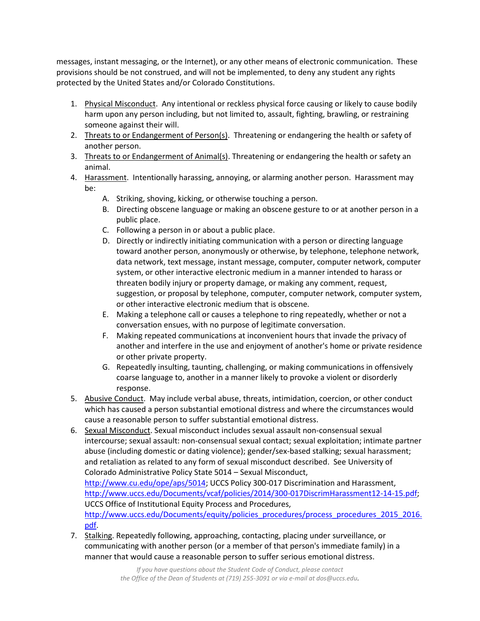messages, instant messaging, or the Internet), or any other means of electronic communication. These provisions should be not construed, and will not be implemented, to deny any student any rights protected by the United States and/or Colorado Constitutions.

- 1. Physical Misconduct. Any intentional or reckless physical force causing or likely to cause bodily harm upon any person including, but not limited to, assault, fighting, brawling, or restraining someone against their will.
- 2. Threats to or Endangerment of Person(s). Threatening or endangering the health or safety of another person.
- 3. Threats to or Endangerment of Animal(s). Threatening or endangering the health or safety an animal.
- 4. Harassment. Intentionally harassing, annoying, or alarming another person. Harassment may be:
	- A. Striking, shoving, kicking, or otherwise touching a person.
	- B. Directing obscene language or making an obscene gesture to or at another person in a public place.
	- C. Following a person in or about a public place.
	- D. Directly or indirectly initiating communication with a person or directing language toward another person, anonymously or otherwise, by telephone, telephone network, data network, text message, instant message, computer, computer network, computer system, or other interactive electronic medium in a manner intended to harass or threaten bodily injury or property damage, or making any comment, request, suggestion, or proposal by telephone, computer, computer network, computer system, or other interactive electronic medium that is obscene.
	- E. Making a telephone call or causes a telephone to ring repeatedly, whether or not a conversation ensues, with no purpose of legitimate conversation.
	- F. Making repeated communications at inconvenient hours that invade the privacy of another and interfere in the use and enjoyment of another's home or private residence or other private property.
	- G. Repeatedly insulting, taunting, challenging, or making communications in offensively coarse language to, another in a manner likely to provoke a violent or disorderly response.
- 5. Abusive Conduct. May include verbal abuse, threats, intimidation, coercion, or other conduct which has caused a person substantial emotional distress and where the circumstances would cause a reasonable person to suffer substantial emotional distress.
- 6. Sexual Misconduct. Sexual misconduct includes sexual assault non-consensual sexual intercourse; sexual assault: non-consensual sexual contact; sexual exploitation; intimate partner abuse (including domestic or dating violence); gender/sex-based stalking; sexual harassment; and retaliation as related to any form of sexual misconduct described. See University of Colorado Administrative Policy State 5014 – Sexual Misconduct, [http://www.cu.edu/ope/aps/5014;](http://www.cu.edu/ope/aps/5014) UCCS Policy 300-017 Discrimination and Harassment, [http://www.uccs.edu/Documents/vcaf/policies/2014/300-017DiscrimHarassment12-14-15.pdf;](http://www.uccs.edu/Documents/vcaf/policies/2014/300-017DiscrimHarassment12-14-15.pdf) UCCS Office of Institutional Equity Process and Procedures, [http://www.uccs.edu/Documents/equity/policies\\_procedures/process\\_procedures\\_2015\\_2016.](http://www.uccs.edu/Documents/equity/policies_procedures/process_procedures_2015_2016.pdf) [pdf.](http://www.uccs.edu/Documents/equity/policies_procedures/process_procedures_2015_2016.pdf)
- 7. Stalking. Repeatedly following, approaching, contacting, placing under surveillance, or communicating with another person (or a member of that person's immediate family) in a manner that would cause a reasonable person to suffer serious emotional distress.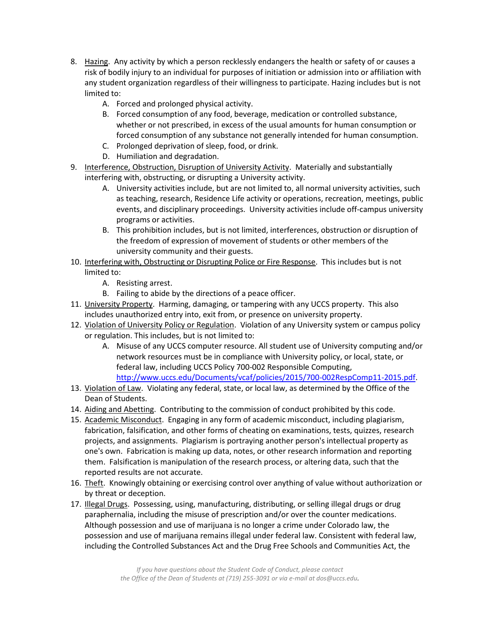- 8. Hazing. Any activity by which a person recklessly endangers the health or safety of or causes a risk of bodily injury to an individual for purposes of initiation or admission into or affiliation with any student organization regardless of their willingness to participate. Hazing includes but is not limited to:
	- A. Forced and prolonged physical activity.
	- B. Forced consumption of any food, beverage, medication or controlled substance, whether or not prescribed, in excess of the usual amounts for human consumption or forced consumption of any substance not generally intended for human consumption.
	- C. Prolonged deprivation of sleep, food, or drink.
	- D. Humiliation and degradation.
- 9. Interference, Obstruction, Disruption of University Activity. Materially and substantially interfering with, obstructing, or disrupting a University activity.
	- A. University activities include, but are not limited to, all normal university activities, such as teaching, research, Residence Life activity or operations, recreation, meetings, public events, and disciplinary proceedings. University activities include off-campus university programs or activities.
	- B. This prohibition includes, but is not limited, interferences, obstruction or disruption of the freedom of expression of movement of students or other members of the university community and their guests.
- 10. Interfering with, Obstructing or Disrupting Police or Fire Response. This includes but is not limited to:
	- A. Resisting arrest.
	- B. Failing to abide by the directions of a peace officer.
- 11. University Property. Harming, damaging, or tampering with any UCCS property. This also includes unauthorized entry into, exit from, or presence on university property.
- 12. Violation of University Policy or Regulation. Violation of any University system or campus policy or regulation. This includes, but is not limited to:
	- A. Misuse of any UCCS computer resource. All student use of University computing and/or network resources must be in compliance with University policy, or local, state, or federal law, including UCCS Policy 700-002 Responsible Computing, [http://www.uccs.edu/Documents/vcaf/policies/2015/700-002RespComp11-2015.pdf.](http://www.uccs.edu/Documents/vcaf/policies/2015/700-002RespComp11-2015.pdf)
- 13. Violation of Law. Violating any federal, state, or local law, as determined by the Office of the Dean of Students.
- 14. Aiding and Abetting. Contributing to the commission of conduct prohibited by this code.
- 15. Academic Misconduct. Engaging in any form of academic misconduct, including plagiarism, fabrication, falsification, and other forms of cheating on examinations, tests, quizzes, research projects, and assignments. Plagiarism is portraying another person's intellectual property as one's own. Fabrication is making up data, notes, or other research information and reporting them. Falsification is manipulation of the research process, or altering data, such that the reported results are not accurate.
- 16. Theft. Knowingly obtaining or exercising control over anything of value without authorization or by threat or deception.
- 17. Illegal Drugs. Possessing, using, manufacturing, distributing, or selling illegal drugs or drug paraphernalia, including the misuse of prescription and/or over the counter medications. Although possession and use of marijuana is no longer a crime under Colorado law, the possession and use of marijuana remains illegal under federal law. Consistent with federal law, including the Controlled Substances Act and the Drug Free Schools and Communities Act, the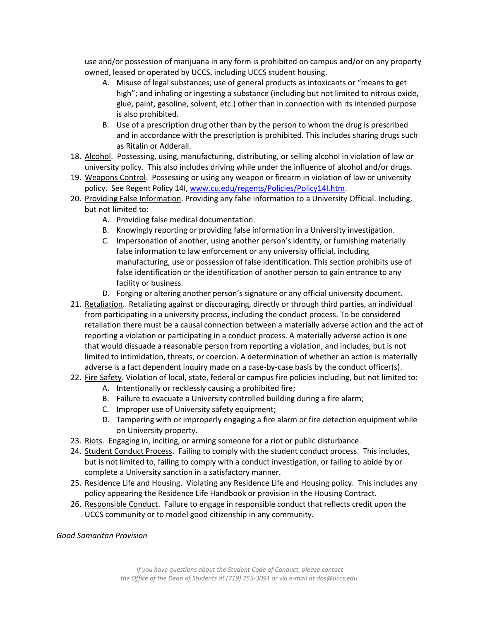use and/or possession of marijuana in any form is prohibited on campus and/or on any property owned, leased or operated by UCCS, including UCCS student housing.

- A. Misuse of legal substances; use of general products as intoxicants or "means to get high"; and inhaling or ingesting a substance (including but not limited to nitrous oxide, glue, paint, gasoline, solvent, etc.) other than in connection with its intended purpose is also prohibited.
- B. Use of a prescription drug other than by the person to whom the drug is prescribed and in accordance with the prescription is prohibited. This includes sharing drugs such as Ritalin or Adderall.
- 18. Alcohol. Possessing, using, manufacturing, distributing, or selling alcohol in violation of law or university policy. This also includes driving while under the influence of alcohol and/or drugs.
- 19. Weapons Control. Possessing or using any weapon or firearm in violation of law or university policy. See Regent Policy 14I, [www.cu.edu/regents/Policies/Policy14I.htm.](http://www.cu.edu/regents/Policies/Policy14I.htm)
- 20. Providing False Information. Providing any false information to a University Official. Including, but not limited to:
	- A. Providing false medical documentation.
	- B. Knowingly reporting or providing false information in a University investigation.
	- C. Impersonation of another, using another person's identity, or furnishing materially false information to law enforcement or any university official, including manufacturing, use or possession of false identification. This section prohibits use of false identification or the identification of another person to gain entrance to any facility or business.
	- D. Forging or altering another person's signature or any official university document.
- 21. Retaliation. Retaliating against or discouraging, directly or through third parties, an individual from participating in a university process, including the conduct process. To be considered retaliation there must be a causal connection between a materially adverse action and the act of reporting a violation or participating in a conduct process. A materially adverse action is one that would dissuade a reasonable person from reporting a violation, and includes, but is not limited to intimidation, threats, or coercion. A determination of whether an action is materially adverse is a fact dependent inquiry made on a case-by-case basis by the conduct officer(s).
- 22. Fire Safety. Violation of local, state, federal or campus fire policies including, but not limited to:
	- A. Intentionally or recklessly causing a prohibited fire;
	- B. Failure to evacuate a University controlled building during a fire alarm;
	- C. Improper use of University safety equipment;
	- D. Tampering with or improperly engaging a fire alarm or fire detection equipment while on University property.
- 23. Riots. Engaging in, inciting, or arming someone for a riot or public disturbance.
- 24. Student Conduct Process. Failing to comply with the student conduct process. This includes, but is not limited to, failing to comply with a conduct investigation, or failing to abide by or complete a University sanction in a satisfactory manner.
- 25. Residence Life and Housing. Violating any Residence Life and Housing policy. This includes any policy appearing the Residence Life Handbook or provision in the Housing Contract.
- 26. Responsible Conduct. Failure to engage in responsible conduct that reflects credit upon the UCCS community or to model good citizenship in any community.

## *Good Samaritan Provision*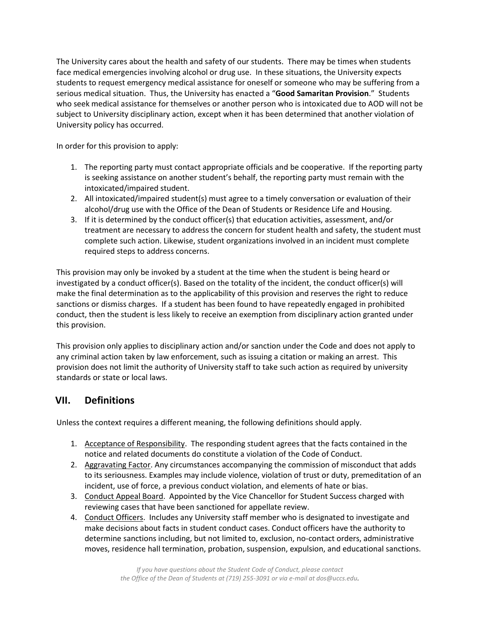The University cares about the health and safety of our students. There may be times when students face medical emergencies involving alcohol or drug use. In these situations, the University expects students to request emergency medical assistance for oneself or someone who may be suffering from a serious medical situation. Thus, the University has enacted a "**Good Samaritan Provision**." Students who seek medical assistance for themselves or another person who is intoxicated due to AOD will not be subject to University disciplinary action, except when it has been determined that another violation of University policy has occurred.

In order for this provision to apply:

- 1. The reporting party must contact appropriate officials and be cooperative. If the reporting party is seeking assistance on another student's behalf, the reporting party must remain with the intoxicated/impaired student.
- 2. All intoxicated/impaired student(s) must agree to a timely conversation or evaluation of their alcohol/drug use with the Office of the Dean of Students or Residence Life and Housing.
- 3. If it is determined by the conduct officer(s) that education activities, assessment, and/or treatment are necessary to address the concern for student health and safety, the student must complete such action. Likewise, student organizations involved in an incident must complete required steps to address concerns.

This provision may only be invoked by a student at the time when the student is being heard or investigated by a conduct officer(s). Based on the totality of the incident, the conduct officer(s) will make the final determination as to the applicability of this provision and reserves the right to reduce sanctions or dismiss charges. If a student has been found to have repeatedly engaged in prohibited conduct, then the student is less likely to receive an exemption from disciplinary action granted under this provision.

This provision only applies to disciplinary action and/or sanction under the Code and does not apply to any criminal action taken by law enforcement, such as issuing a citation or making an arrest. This provision does not limit the authority of University staff to take such action as required by university standards or state or local laws.

# **VII. Definitions**

Unless the context requires a different meaning, the following definitions should apply.

- 1. Acceptance of Responsibility. The responding student agrees that the facts contained in the notice and related documents do constitute a violation of the Code of Conduct.
- 2. Aggravating Factor. Any circumstances accompanying the commission of misconduct that adds to its seriousness. Examples may include violence, violation of trust or duty, premeditation of an incident, use of force, a previous conduct violation, and elements of hate or bias.
- 3. Conduct Appeal Board. Appointed by the Vice Chancellor for Student Success charged with reviewing cases that have been sanctioned for appellate review.
- 4. Conduct Officers. Includes any University staff member who is designated to investigate and make decisions about facts in student conduct cases. Conduct officers have the authority to determine sanctions including, but not limited to, exclusion, no-contact orders, administrative moves, residence hall termination, probation, suspension, expulsion, and educational sanctions.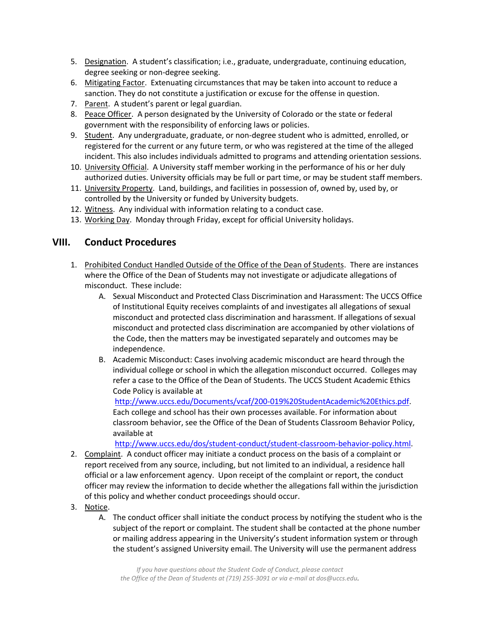- 5. Designation. A student's classification; i.e., graduate, undergraduate, continuing education, degree seeking or non-degree seeking.
- 6. Mitigating Factor. Extenuating circumstances that may be taken into account to reduce a sanction. They do not constitute a justification or excuse for the offense in question.
- 7. Parent. A student's parent or legal guardian.
- 8. Peace Officer. A person designated by the University of Colorado or the state or federal government with the responsibility of enforcing laws or policies.
- 9. Student. Any undergraduate, graduate, or non-degree student who is admitted, enrolled, or registered for the current or any future term, or who was registered at the time of the alleged incident. This also includes individuals admitted to programs and attending orientation sessions.
- 10. University Official. A University staff member working in the performance of his or her duly authorized duties. University officials may be full or part time, or may be student staff members.
- 11. University Property. Land, buildings, and facilities in possession of, owned by, used by, or controlled by the University or funded by University budgets.
- 12. Witness. Any individual with information relating to a conduct case.
- 13. Working Day. Monday through Friday, except for official University holidays.

## **VIII. Conduct Procedures**

- 1. Prohibited Conduct Handled Outside of the Office of the Dean of Students. There are instances where the Office of the Dean of Students may not investigate or adjudicate allegations of misconduct. These include:
	- A. Sexual Misconduct and Protected Class Discrimination and Harassment: The UCCS Office of Institutional Equity receives complaints of and investigates all allegations of sexual misconduct and protected class discrimination and harassment. If allegations of sexual misconduct and protected class discrimination are accompanied by other violations of the Code, then the matters may be investigated separately and outcomes may be independence.
	- B. Academic Misconduct: Cases involving academic misconduct are heard through the individual college or school in which the allegation misconduct occurred. Colleges may refer a case to the Office of the Dean of Students. The UCCS Student Academic Ethics Code Policy is available at

[http://www.uccs.edu/Documents/vcaf/200-019%20StudentAcademic%20Ethics.pdf.](http://www.uccs.edu/Documents/vcaf/200-019%20StudentAcademic%20Ethics.pdf) Each college and school has their own processes available. For information about classroom behavior, see the Office of the Dean of Students Classroom Behavior Policy, available at

[http://www.uccs.edu/dos/student-conduct/student-classroom-behavior-policy.html.](http://www.uccs.edu/dos/student-conduct/student-classroom-behavior-policy.html)

- 2. Complaint. A conduct officer may initiate a conduct process on the basis of a complaint or report received from any source, including, but not limited to an individual, a residence hall official or a law enforcement agency. Upon receipt of the complaint or report, the conduct officer may review the information to decide whether the allegations fall within the jurisdiction of this policy and whether conduct proceedings should occur.
- 3. Notice.
	- A. The conduct officer shall initiate the conduct process by notifying the student who is the subject of the report or complaint. The student shall be contacted at the phone number or mailing address appearing in the University's student information system or through the student's assigned University email. The University will use the permanent address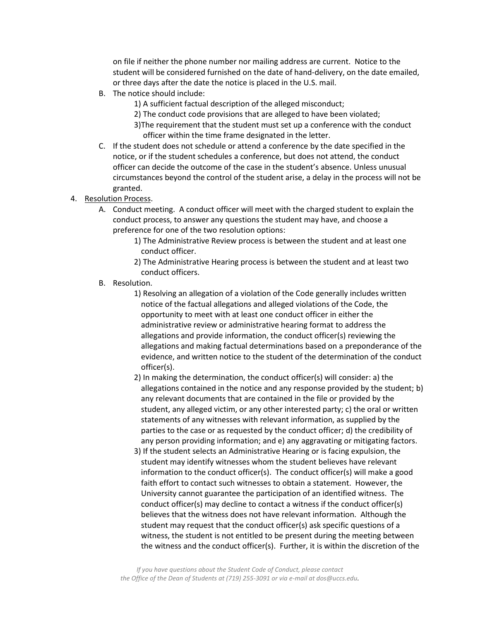on file if neither the phone number nor mailing address are current. Notice to the student will be considered furnished on the date of hand-delivery, on the date emailed, or three days after the date the notice is placed in the U.S. mail.

- B. The notice should include:
	- 1) A sufficient factual description of the alleged misconduct;
	- 2) The conduct code provisions that are alleged to have been violated;
	- 3)The requirement that the student must set up a conference with the conduct officer within the time frame designated in the letter.
- C. If the student does not schedule or attend a conference by the date specified in the notice, or if the student schedules a conference, but does not attend, the conduct officer can decide the outcome of the case in the student's absence. Unless unusual circumstances beyond the control of the student arise, a delay in the process will not be granted.
- 4. Resolution Process.
	- A. Conduct meeting. A conduct officer will meet with the charged student to explain the conduct process, to answer any questions the student may have, and choose a preference for one of the two resolution options:
		- 1) The Administrative Review process is between the student and at least one conduct officer.
		- 2) The Administrative Hearing process is between the student and at least two conduct officers.
	- B. Resolution.
		- 1) Resolving an allegation of a violation of the Code generally includes written notice of the factual allegations and alleged violations of the Code, the opportunity to meet with at least one conduct officer in either the administrative review or administrative hearing format to address the allegations and provide information, the conduct officer(s) reviewing the allegations and making factual determinations based on a preponderance of the evidence, and written notice to the student of the determination of the conduct officer(s).
		- 2) In making the determination, the conduct officer(s) will consider: a) the allegations contained in the notice and any response provided by the student; b) any relevant documents that are contained in the file or provided by the student, any alleged victim, or any other interested party; c) the oral or written statements of any witnesses with relevant information, as supplied by the parties to the case or as requested by the conduct officer; d) the credibility of any person providing information; and e) any aggravating or mitigating factors.
		- 3) If the student selects an Administrative Hearing or is facing expulsion, the student may identify witnesses whom the student believes have relevant information to the conduct officer(s). The conduct officer(s) will make a good faith effort to contact such witnesses to obtain a statement. However, the University cannot guarantee the participation of an identified witness. The conduct officer(s) may decline to contact a witness if the conduct officer(s) believes that the witness does not have relevant information. Although the student may request that the conduct officer(s) ask specific questions of a witness, the student is not entitled to be present during the meeting between the witness and the conduct officer(s). Further, it is within the discretion of the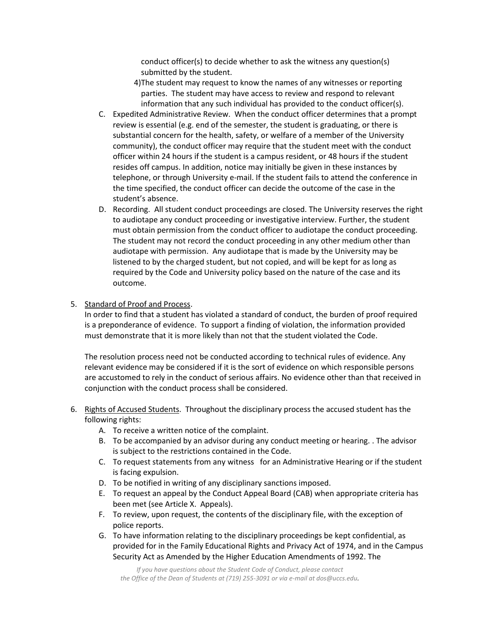conduct officer(s) to decide whether to ask the witness any question(s) submitted by the student.

- 4)The student may request to know the names of any witnesses or reporting parties. The student may have access to review and respond to relevant information that any such individual has provided to the conduct officer(s).
- C. Expedited Administrative Review. When the conduct officer determines that a prompt review is essential (e.g. end of the semester, the student is graduating, or there is substantial concern for the health, safety, or welfare of a member of the University community), the conduct officer may require that the student meet with the conduct officer within 24 hours if the student is a campus resident, or 48 hours if the student resides off campus. In addition, notice may initially be given in these instances by telephone, or through University e-mail. If the student fails to attend the conference in the time specified, the conduct officer can decide the outcome of the case in the student's absence.
- D. Recording. All student conduct proceedings are closed. The University reserves the right to audiotape any conduct proceeding or investigative interview. Further, the student must obtain permission from the conduct officer to audiotape the conduct proceeding. The student may not record the conduct proceeding in any other medium other than audiotape with permission. Any audiotape that is made by the University may be listened to by the charged student, but not copied, and will be kept for as long as required by the Code and University policy based on the nature of the case and its outcome.

## 5. Standard of Proof and Process.

In order to find that a student has violated a standard of conduct, the burden of proof required is a preponderance of evidence. To support a finding of violation, the information provided must demonstrate that it is more likely than not that the student violated the Code.

The resolution process need not be conducted according to technical rules of evidence. Any relevant evidence may be considered if it is the sort of evidence on which responsible persons are accustomed to rely in the conduct of serious affairs. No evidence other than that received in conjunction with the conduct process shall be considered.

- 6. Rights of Accused Students. Throughout the disciplinary process the accused student has the following rights:
	- A. To receive a written notice of the complaint.
	- B. To be accompanied by an advisor during any conduct meeting or hearing. . The advisor is subject to the restrictions contained in the Code.
	- C. To request statements from any witness for an Administrative Hearing or if the student is facing expulsion.
	- D. To be notified in writing of any disciplinary sanctions imposed.
	- E. To request an appeal by the Conduct Appeal Board (CAB) when appropriate criteria has been met (see Article X. Appeals).
	- F. To review, upon request, the contents of the disciplinary file, with the exception of police reports.
	- G. To have information relating to the disciplinary proceedings be kept confidential, as provided for in the Family Educational Rights and Privacy Act of 1974, and in the Campus Security Act as Amended by the Higher Education Amendments of 1992. The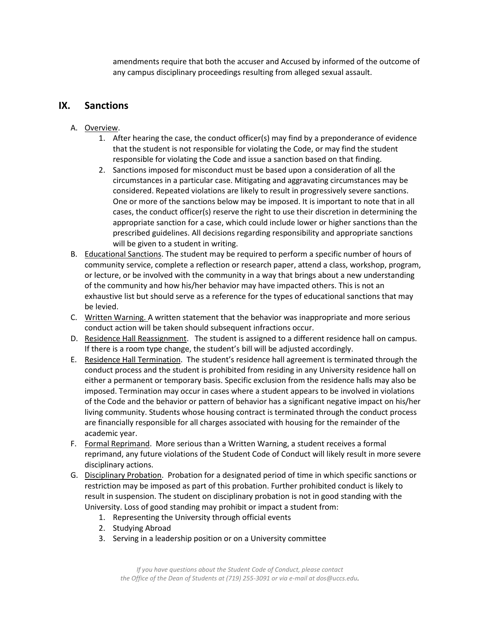amendments require that both the accuser and Accused by informed of the outcome of any campus disciplinary proceedings resulting from alleged sexual assault.

## **IX. Sanctions**

- A. Overview.
	- 1. After hearing the case, the conduct officer(s) may find by a preponderance of evidence that the student is not responsible for violating the Code, or may find the student responsible for violating the Code and issue a sanction based on that finding.
	- 2. Sanctions imposed for misconduct must be based upon a consideration of all the circumstances in a particular case. Mitigating and aggravating circumstances may be considered. Repeated violations are likely to result in progressively severe sanctions. One or more of the sanctions below may be imposed. It is important to note that in all cases, the conduct officer(s) reserve the right to use their discretion in determining the appropriate sanction for a case, which could include lower or higher sanctions than the prescribed guidelines. All decisions regarding responsibility and appropriate sanctions will be given to a student in writing.
- B. Educational Sanctions. The student may be required to perform a specific number of hours of community service, complete a reflection or research paper, attend a class, workshop, program, or lecture, or be involved with the community in a way that brings about a new understanding of the community and how his/her behavior may have impacted others. This is not an exhaustive list but should serve as a reference for the types of educational sanctions that may be levied.
- C. Written Warning. A written statement that the behavior was inappropriate and more serious conduct action will be taken should subsequent infractions occur.
- D. Residence Hall Reassignment. The student is assigned to a different residence hall on campus. If there is a room type change, the student's bill will be adjusted accordingly.
- E. Residence Hall Termination. The student's residence hall agreement is terminated through the conduct process and the student is prohibited from residing in any University residence hall on either a permanent or temporary basis. Specific exclusion from the residence halls may also be imposed. Termination may occur in cases where a student appears to be involved in violations of the Code and the behavior or pattern of behavior has a significant negative impact on his/her living community. Students whose housing contract is terminated through the conduct process are financially responsible for all charges associated with housing for the remainder of the academic year.
- F. Formal Reprimand. More serious than a Written Warning, a student receives a formal reprimand, any future violations of the Student Code of Conduct will likely result in more severe disciplinary actions.
- G. Disciplinary Probation. Probation for a designated period of time in which specific sanctions or restriction may be imposed as part of this probation. Further prohibited conduct is likely to result in suspension. The student on disciplinary probation is not in good standing with the University. Loss of good standing may prohibit or impact a student from:
	- 1. Representing the University through official events
	- 2. Studying Abroad
	- 3. Serving in a leadership position or on a University committee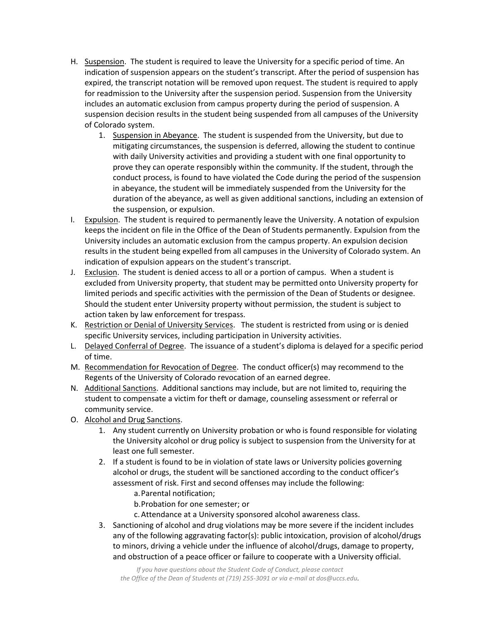- H. Suspension. The student is required to leave the University for a specific period of time. An indication of suspension appears on the student's transcript. After the period of suspension has expired, the transcript notation will be removed upon request. The student is required to apply for readmission to the University after the suspension period. Suspension from the University includes an automatic exclusion from campus property during the period of suspension. A suspension decision results in the student being suspended from all campuses of the University of Colorado system.
	- 1. Suspension in Abeyance. The student is suspended from the University, but due to mitigating circumstances, the suspension is deferred, allowing the student to continue with daily University activities and providing a student with one final opportunity to prove they can operate responsibly within the community. If the student, through the conduct process, is found to have violated the Code during the period of the suspension in abeyance, the student will be immediately suspended from the University for the duration of the abeyance, as well as given additional sanctions, including an extension of the suspension, or expulsion.
- I. Expulsion. The student is required to permanently leave the University. A notation of expulsion keeps the incident on file in the Office of the Dean of Students permanently. Expulsion from the University includes an automatic exclusion from the campus property. An expulsion decision results in the student being expelled from all campuses in the University of Colorado system. An indication of expulsion appears on the student's transcript.
- J. Exclusion. The student is denied access to all or a portion of campus. When a student is excluded from University property, that student may be permitted onto University property for limited periods and specific activities with the permission of the Dean of Students or designee. Should the student enter University property without permission, the student is subject to action taken by law enforcement for trespass.
- K. Restriction or Denial of University Services. The student is restricted from using or is denied specific University services, including participation in University activities.
- L. Delayed Conferral of Degree. The issuance of a student's diploma is delayed for a specific period of time.
- M. Recommendation for Revocation of Degree. The conduct officer(s) may recommend to the Regents of the University of Colorado revocation of an earned degree.
- N. Additional Sanctions. Additional sanctions may include, but are not limited to, requiring the student to compensate a victim for theft or damage, counseling assessment or referral or community service.
- O. Alcohol and Drug Sanctions.
	- 1. Any student currently on University probation or who is found responsible for violating the University alcohol or drug policy is subject to suspension from the University for at least one full semester.
	- 2. If a student is found to be in violation of state laws or University policies governing alcohol or drugs, the student will be sanctioned according to the conduct officer's assessment of risk. First and second offenses may include the following:
		- a.Parental notification;
		- b.Probation for one semester; or
		- c.Attendance at a University sponsored alcohol awareness class.
	- 3. Sanctioning of alcohol and drug violations may be more severe if the incident includes any of the following aggravating factor(s): public intoxication, provision of alcohol/drugs to minors, driving a vehicle under the influence of alcohol/drugs, damage to property, and obstruction of a peace officer or failure to cooperate with a University official.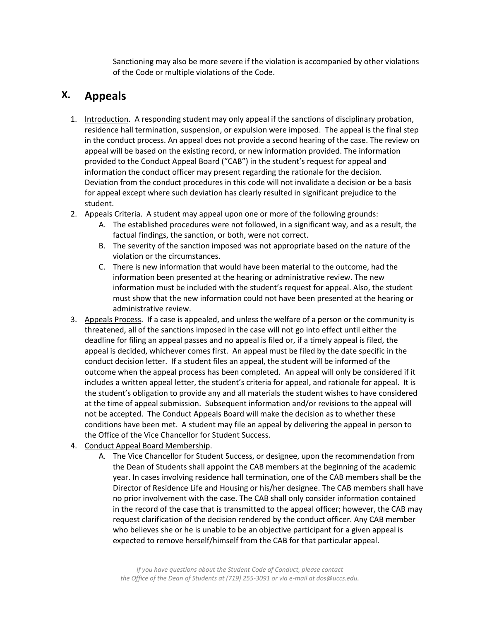Sanctioning may also be more severe if the violation is accompanied by other violations of the Code or multiple violations of the Code.

# **X. Appeals**

- 1. Introduction. A responding student may only appeal if the sanctions of disciplinary probation, residence hall termination, suspension, or expulsion were imposed. The appeal is the final step in the conduct process. An appeal does not provide a second hearing of the case. The review on appeal will be based on the existing record, or new information provided. The information provided to the Conduct Appeal Board ("CAB") in the student's request for appeal and information the conduct officer may present regarding the rationale for the decision. Deviation from the conduct procedures in this code will not invalidate a decision or be a basis for appeal except where such deviation has clearly resulted in significant prejudice to the student.
- 2. Appeals Criteria. A student may appeal upon one or more of the following grounds:
	- A. The established procedures were not followed, in a significant way, and as a result, the factual findings, the sanction, or both, were not correct.
	- B. The severity of the sanction imposed was not appropriate based on the nature of the violation or the circumstances.
	- C. There is new information that would have been material to the outcome, had the information been presented at the hearing or administrative review. The new information must be included with the student's request for appeal. Also, the student must show that the new information could not have been presented at the hearing or administrative review.
- 3. Appeals Process. If a case is appealed, and unless the welfare of a person or the community is threatened, all of the sanctions imposed in the case will not go into effect until either the deadline for filing an appeal passes and no appeal is filed or, if a timely appeal is filed, the appeal is decided, whichever comes first. An appeal must be filed by the date specific in the conduct decision letter. If a student files an appeal, the student will be informed of the outcome when the appeal process has been completed. An appeal will only be considered if it includes a written appeal letter, the student's criteria for appeal, and rationale for appeal. It is the student's obligation to provide any and all materials the student wishes to have considered at the time of appeal submission. Subsequent information and/or revisions to the appeal will not be accepted. The Conduct Appeals Board will make the decision as to whether these conditions have been met. A student may file an appeal by delivering the appeal in person to the Office of the Vice Chancellor for Student Success.
- 4. Conduct Appeal Board Membership.
	- A. The Vice Chancellor for Student Success, or designee, upon the recommendation from the Dean of Students shall appoint the CAB members at the beginning of the academic year. In cases involving residence hall termination, one of the CAB members shall be the Director of Residence Life and Housing or his/her designee. The CAB members shall have no prior involvement with the case. The CAB shall only consider information contained in the record of the case that is transmitted to the appeal officer; however, the CAB may request clarification of the decision rendered by the conduct officer. Any CAB member who believes she or he is unable to be an objective participant for a given appeal is expected to remove herself/himself from the CAB for that particular appeal.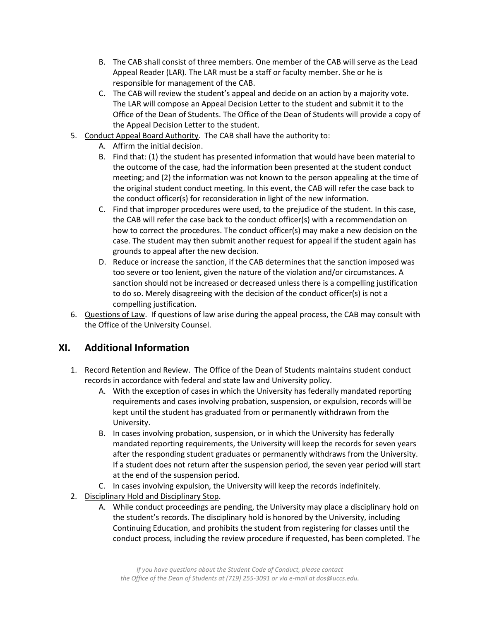- B. The CAB shall consist of three members. One member of the CAB will serve as the Lead Appeal Reader (LAR). The LAR must be a staff or faculty member. She or he is responsible for management of the CAB.
- C. The CAB will review the student's appeal and decide on an action by a majority vote. The LAR will compose an Appeal Decision Letter to the student and submit it to the Office of the Dean of Students. The Office of the Dean of Students will provide a copy of the Appeal Decision Letter to the student.
- 5. Conduct Appeal Board Authority. The CAB shall have the authority to:
	- A. Affirm the initial decision.
	- B. Find that: (1) the student has presented information that would have been material to the outcome of the case, had the information been presented at the student conduct meeting; and (2) the information was not known to the person appealing at the time of the original student conduct meeting. In this event, the CAB will refer the case back to the conduct officer(s) for reconsideration in light of the new information.
	- C. Find that improper procedures were used, to the prejudice of the student. In this case, the CAB will refer the case back to the conduct officer(s) with a recommendation on how to correct the procedures. The conduct officer(s) may make a new decision on the case. The student may then submit another request for appeal if the student again has grounds to appeal after the new decision.
	- D. Reduce or increase the sanction, if the CAB determines that the sanction imposed was too severe or too lenient, given the nature of the violation and/or circumstances. A sanction should not be increased or decreased unless there is a compelling justification to do so. Merely disagreeing with the decision of the conduct officer(s) is not a compelling justification.
- 6. Questions of Law. If questions of law arise during the appeal process, the CAB may consult with the Office of the University Counsel.

## **XI. Additional Information**

- 1. Record Retention and Review. The Office of the Dean of Students maintains student conduct records in accordance with federal and state law and University policy.
	- A. With the exception of cases in which the University has federally mandated reporting requirements and cases involving probation, suspension, or expulsion, records will be kept until the student has graduated from or permanently withdrawn from the University.
	- B. In cases involving probation, suspension, or in which the University has federally mandated reporting requirements, the University will keep the records for seven years after the responding student graduates or permanently withdraws from the University. If a student does not return after the suspension period, the seven year period will start at the end of the suspension period.
	- C. In cases involving expulsion, the University will keep the records indefinitely.
- 2. Disciplinary Hold and Disciplinary Stop.
	- A. While conduct proceedings are pending, the University may place a disciplinary hold on the student's records. The disciplinary hold is honored by the University, including Continuing Education, and prohibits the student from registering for classes until the conduct process, including the review procedure if requested, has been completed. The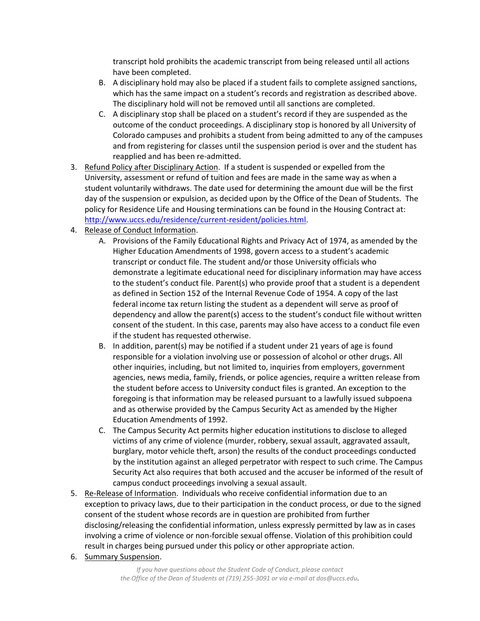transcript hold prohibits the academic transcript from being released until all actions have been completed.

- B. A disciplinary hold may also be placed if a student fails to complete assigned sanctions, which has the same impact on a student's records and registration as described above. The disciplinary hold will not be removed until all sanctions are completed.
- C. A disciplinary stop shall be placed on a student's record if they are suspended as the outcome of the conduct proceedings. A disciplinary stop is honored by all University of Colorado campuses and prohibits a student from being admitted to any of the campuses and from registering for classes until the suspension period is over and the student has reapplied and has been re-admitted.
- 3. Refund Policy after Disciplinary Action. If a student is suspended or expelled from the University, assessment or refund of tuition and fees are made in the same way as when a student voluntarily withdraws. The date used for determining the amount due will be the first day of the suspension or expulsion, as decided upon by the Office of the Dean of Students. The policy for Residence Life and Housing terminations can be found in the Housing Contract at: [http://www.uccs.edu/residence/current-resident/policies.html.](http://www.uccs.edu/residence/current-resident/policies.html)
- 4. Release of Conduct Information.
	- A. Provisions of the Family Educational Rights and Privacy Act of 1974, as amended by the Higher Education Amendments of 1998, govern access to a student's academic transcript or conduct file. The student and/or those University officials who demonstrate a legitimate educational need for disciplinary information may have access to the student's conduct file. Parent(s) who provide proof that a student is a dependent as defined in Section 152 of the Internal Revenue Code of 1954. A copy of the last federal income tax return listing the student as a dependent will serve as proof of dependency and allow the parent(s) access to the student's conduct file without written consent of the student. In this case, parents may also have access to a conduct file even if the student has requested otherwise.
	- B. In addition, parent(s) may be notified if a student under 21 years of age is found responsible for a violation involving use or possession of alcohol or other drugs. All other inquiries, including, but not limited to, inquiries from employers, government agencies, news media, family, friends, or police agencies, require a written release from the student before access to University conduct files is granted. An exception to the foregoing is that information may be released pursuant to a lawfully issued subpoena and as otherwise provided by the Campus Security Act as amended by the Higher Education Amendments of 1992.
	- C. The Campus Security Act permits higher education institutions to disclose to alleged victims of any crime of violence (murder, robbery, sexual assault, aggravated assault, burglary, motor vehicle theft, arson) the results of the conduct proceedings conducted by the institution against an alleged perpetrator with respect to such crime. The Campus Security Act also requires that both accused and the accuser be informed of the result of campus conduct proceedings involving a sexual assault.
- 5. Re-Release of Information. Individuals who receive confidential information due to an exception to privacy laws, due to their participation in the conduct process, or due to the signed consent of the student whose records are in question are prohibited from further disclosing/releasing the confidential information, unless expressly permitted by law as in cases involving a crime of violence or non-forcible sexual offense. Violation of this prohibition could result in charges being pursued under this policy or other appropriate action.
- 6. Summary Suspension.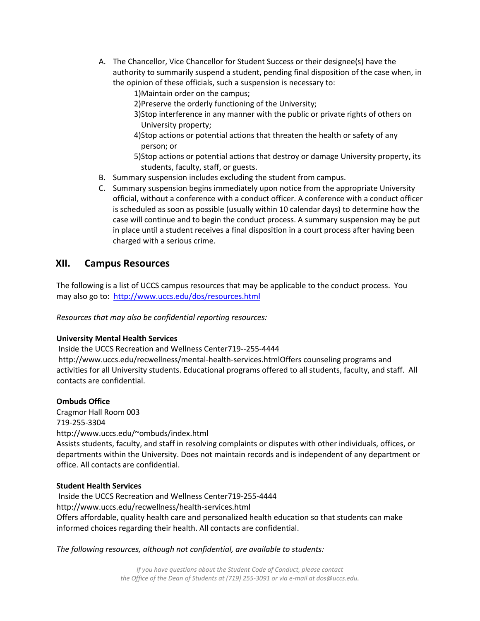- A. The Chancellor, Vice Chancellor for Student Success or their designee(s) have the authority to summarily suspend a student, pending final disposition of the case when, in the opinion of these officials, such a suspension is necessary to:
	- 1)Maintain order on the campus;
	- 2)Preserve the orderly functioning of the University;
	- 3)Stop interference in any manner with the public or private rights of others on University property;
	- 4)Stop actions or potential actions that threaten the health or safety of any person; or
	- 5)Stop actions or potential actions that destroy or damage University property, its students, faculty, staff, or guests.
- B. Summary suspension includes excluding the student from campus.
- C. Summary suspension begins immediately upon notice from the appropriate University official, without a conference with a conduct officer. A conference with a conduct officer is scheduled as soon as possible (usually within 10 calendar days) to determine how the case will continue and to begin the conduct process. A summary suspension may be put in place until a student receives a final disposition in a court process after having been charged with a serious crime.

## **XII. Campus Resources**

The following is a list of UCCS campus resources that may be applicable to the conduct process. You may also go to: <http://www.uccs.edu/dos/resources.html>

*Resources that may also be confidential reporting resources:*

## **University Mental Health Services**

Inside the UCCS Recreation and Wellness Center719--255-4444 http://www.uccs.edu/recwellness/mental-health-services.htmlOffers counseling programs and activities for all University students. Educational programs offered to all students, faculty, and staff. All contacts are confidential.

## **Ombuds Office**

Cragmor Hall Room 003 719-255-3304 http://www.uccs.edu/~ombuds/index.html Assists students, faculty, and staff in resolving complaints or disputes with other individuals, offices, or departments within the University. Does not maintain records and is independent of any department or office. All contacts are confidential.

#### **Student Health Services**

Inside the UCCS Recreation and Wellness Center719-255-4444 http://www.uccs.edu/recwellness/health-services.html Offers affordable, quality health care and personalized health education so that students can make informed choices regarding their health. All contacts are confidential.

#### *The following resources, although not confidential, are available to students:*